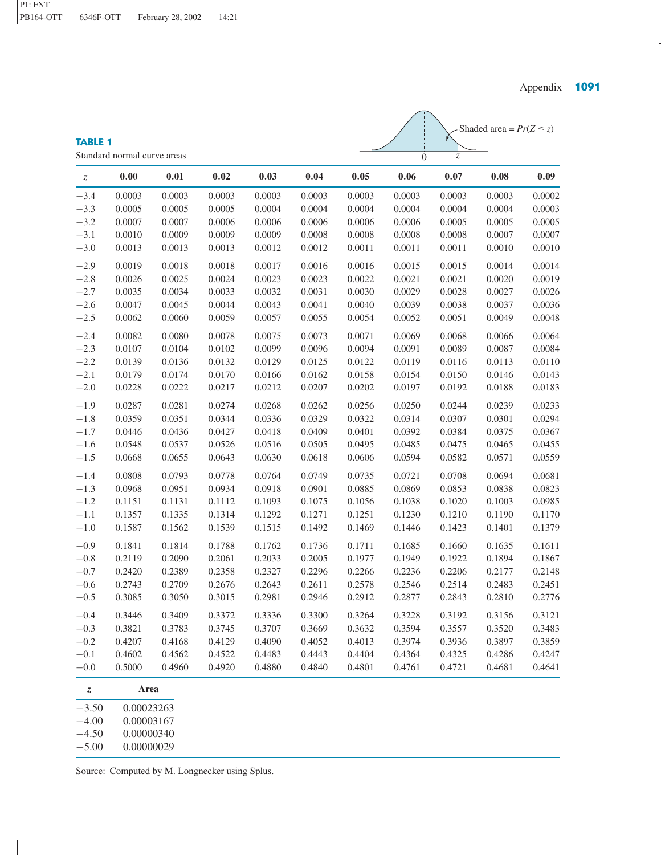## Shaded area =  $Pr(Z \le z)$ 0 *z*

**TABLE 1** Standard normal curve areas

| Z.               | 0.00       | 0.01   | 0.02   | 0.03   | 0.04   | 0.05   | 0.06   | 0.07   | 0.08   | 0.09   |
|------------------|------------|--------|--------|--------|--------|--------|--------|--------|--------|--------|
| $-3.4$           | 0.0003     | 0.0003 | 0.0003 | 0.0003 | 0.0003 | 0.0003 | 0.0003 | 0.0003 | 0.0003 | 0.0002 |
| $-3.3$           | 0.0005     | 0.0005 | 0.0005 | 0.0004 | 0.0004 | 0.0004 | 0.0004 | 0.0004 | 0.0004 | 0.0003 |
| $-3.2$           | 0.0007     | 0.0007 | 0.0006 | 0.0006 | 0.0006 | 0.0006 | 0.0006 | 0.0005 | 0.0005 | 0.0005 |
| $-3.1$           | 0.0010     | 0.0009 | 0.0009 | 0.0009 | 0.0008 | 0.0008 | 0.0008 | 0.0008 | 0.0007 | 0.0007 |
| $-3.0$           | 0.0013     | 0.0013 | 0.0013 | 0.0012 | 0.0012 | 0.0011 | 0.0011 | 0.0011 | 0.0010 | 0.0010 |
| $-2.9$           | 0.0019     | 0.0018 | 0.0018 | 0.0017 | 0.0016 | 0.0016 | 0.0015 | 0.0015 | 0.0014 | 0.0014 |
| $-2.8$           | 0.0026     | 0.0025 | 0.0024 | 0.0023 | 0.0023 | 0.0022 | 0.0021 | 0.0021 | 0.0020 | 0.0019 |
| $-2.7$           | 0.0035     | 0.0034 | 0.0033 | 0.0032 | 0.0031 | 0.0030 | 0.0029 | 0.0028 | 0.0027 | 0.0026 |
| $-2.6$           | 0.0047     | 0.0045 | 0.0044 | 0.0043 | 0.0041 | 0.0040 | 0.0039 | 0.0038 | 0.0037 | 0.0036 |
| $-2.5$           | 0.0062     | 0.0060 | 0.0059 | 0.0057 | 0.0055 | 0.0054 | 0.0052 | 0.0051 | 0.0049 | 0.0048 |
| $-2.4$           | 0.0082     | 0.0080 | 0.0078 | 0.0075 | 0.0073 | 0.0071 | 0.0069 | 0.0068 | 0.0066 | 0.0064 |
| $-2.3$           | 0.0107     | 0.0104 | 0.0102 | 0.0099 | 0.0096 | 0.0094 | 0.0091 | 0.0089 | 0.0087 | 0.0084 |
| $-2.2$           | 0.0139     | 0.0136 | 0.0132 | 0.0129 | 0.0125 | 0.0122 | 0.0119 | 0.0116 | 0.0113 | 0.0110 |
| $-2.1$           | 0.0179     | 0.0174 | 0.0170 | 0.0166 | 0.0162 | 0.0158 | 0.0154 | 0.0150 | 0.0146 | 0.0143 |
| $-2.0$           | 0.0228     | 0.0222 | 0.0217 | 0.0212 | 0.0207 | 0.0202 | 0.0197 | 0.0192 | 0.0188 | 0.0183 |
| $-1.9$           | 0.0287     | 0.0281 | 0.0274 | 0.0268 | 0.0262 | 0.0256 | 0.0250 | 0.0244 | 0.0239 | 0.0233 |
| $-1.8$           | 0.0359     | 0.0351 | 0.0344 | 0.0336 | 0.0329 | 0.0322 | 0.0314 | 0.0307 | 0.0301 | 0.0294 |
| $-1.7$           | 0.0446     | 0.0436 | 0.0427 | 0.0418 | 0.0409 | 0.0401 | 0.0392 | 0.0384 | 0.0375 | 0.0367 |
| $-1.6$           | 0.0548     | 0.0537 | 0.0526 | 0.0516 | 0.0505 | 0.0495 | 0.0485 | 0.0475 | 0.0465 | 0.0455 |
| $-1.5$           | 0.0668     | 0.0655 | 0.0643 | 0.0630 | 0.0618 | 0.0606 | 0.0594 | 0.0582 | 0.0571 | 0.0559 |
| $-1.4$           | 0.0808     | 0.0793 | 0.0778 | 0.0764 | 0.0749 | 0.0735 | 0.0721 | 0.0708 | 0.0694 | 0.0681 |
| $-1.3$           | 0.0968     | 0.0951 | 0.0934 | 0.0918 | 0.0901 | 0.0885 | 0.0869 | 0.0853 | 0.0838 | 0.0823 |
| $-1.2$           | 0.1151     | 0.1131 | 0.1112 | 0.1093 | 0.1075 | 0.1056 | 0.1038 | 0.1020 | 0.1003 | 0.0985 |
| $-1.1$           | 0.1357     | 0.1335 | 0.1314 | 0.1292 | 0.1271 | 0.1251 | 0.1230 | 0.1210 | 0.1190 | 0.1170 |
| $-1.0$           | 0.1587     | 0.1562 | 0.1539 | 0.1515 | 0.1492 | 0.1469 | 0.1446 | 0.1423 | 0.1401 | 0.1379 |
| $-0.9$           | 0.1841     | 0.1814 | 0.1788 | 0.1762 | 0.1736 | 0.1711 | 0.1685 | 0.1660 | 0.1635 | 0.1611 |
| $-0.8$           | 0.2119     | 0.2090 | 0.2061 | 0.2033 | 0.2005 | 0.1977 | 0.1949 | 0.1922 | 0.1894 | 0.1867 |
| $-0.7$           | 0.2420     | 0.2389 | 0.2358 | 0.2327 | 0.2296 | 0.2266 | 0.2236 | 0.2206 | 0.2177 | 0.2148 |
| $-0.6$           | 0.2743     | 0.2709 | 0.2676 | 0.2643 | 0.2611 | 0.2578 | 0.2546 | 0.2514 | 0.2483 | 0.2451 |
| $-0.5$           | 0.3085     | 0.3050 | 0.3015 | 0.2981 | 0.2946 | 0.2912 | 0.2877 | 0.2843 | 0.2810 | 0.2776 |
| $-0.4$           | 0.3446     | 0.3409 | 0.3372 | 0.3336 | 0.3300 | 0.3264 | 0.3228 | 0.3192 | 0.3156 | 0.3121 |
| $-0.3$           | 0.3821     | 0.3783 | 0.3745 | 0.3707 | 0.3669 | 0.3632 | 0.3594 | 0.3557 | 0.3520 | 0.3483 |
| $-0.2$           | 0.4207     | 0.4168 | 0.4129 | 0.4090 | 0.4052 | 0.4013 | 0.3974 | 0.3936 | 0.3897 | 0.3859 |
| $-0.1$           | 0.4602     | 0.4562 | 0.4522 | 0.4483 | 0.4443 | 0.4404 | 0.4364 | 0.4325 | 0.4286 | 0.4247 |
| $-0.0$           | 0.5000     | 0.4960 | 0.4920 | 0.4880 | 0.4840 | 0.4801 | 0.4761 | 0.4721 | 0.4681 | 0.4641 |
| $\boldsymbol{z}$ | Area       |        |        |        |        |        |        |        |        |        |
| $-3.50$          | 0.00023263 |        |        |        |        |        |        |        |        |        |
| $-4.00$          | 0.00003167 |        |        |        |        |        |        |        |        |        |

−4.50 0.00000340 −5.00 0.00000029

Source: Computed by M. Longnecker using Splus.